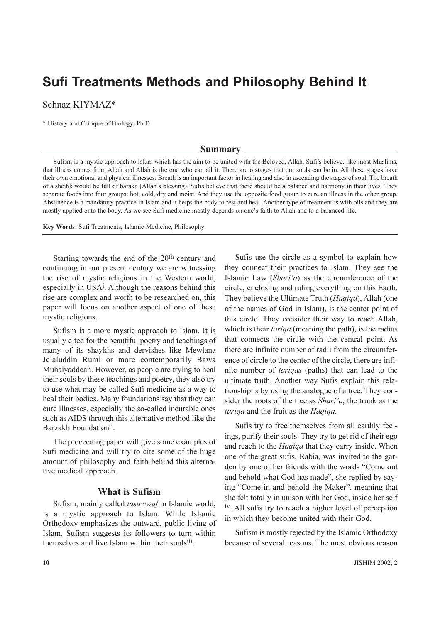# **Sufi Treatments Methods and Philosophy Behind It**

Sehnaz KIYMAZ\*

\* History and Critique of Biology, Ph.D

– Summary -

Sufism is a mystic approach to Islam which has the aim to be united with the Beloved, Allah. Sufi's believe, like most Muslims, that illness comes from Allah and Allah is the one who can ail it. There are 6 stages that our souls can be in. All these stages have their own emotional and physical illnesses. Breath is an important factor in healing and also in ascending the stages of soul. The breath of a sheihk would be full of baraka (Allah's blessing). Suffs believe that there should be a balance and harmony in their lives. They separate foods into four groups: hot, cold, dry and moist. And they use the opposite food group to cure an illness in the other group. Abstinence is a mandatory practice in Islam and it helps the body to rest and heal. Another type of treatment is with oils and they are mostly applied onto the body. As we see Sufi medicine mostly depends on one's faith to Allah and to a balanced life.

Key Words: Sufi Treatments, Islamic Medicine, Philosophy

Starting towards the end of the 20<sup>th</sup> century and continuing in our present century we are witnessing the rise of mystic religions in the Western world, especially in USA<sup>i</sup>. Although the reasons behind this rise are complex and worth to be researched on, this paper will focus on another aspect of one of these mystic religions.

Sufism is a more mystic approach to Islam. It is usually cited for the beautiful poetry and teachings of many of its shaykhs and dervishes like Mewlana Jelaluddin Rumi or more contemporarily Bawa Muhaiyaddean. However, as people are trying to heal their souls by these teachings and poetry, they also try to use what may be called Sufi medicine as a way to heal their bodies. Many foundations say that they can cure illnesses, especially the so-called incurable ones such as AIDS through this alternative method like the Barzakh Foundation<sup>ii</sup>.

The proceeding paper will give some examples of Sufi medicine and will try to cite some of the huge amount of philosophy and faith behind this alternative medical approach.

# **What is Sufism**

Sufism, mainly called *tasawwuf* in Islamic world, is a mystic approach to Islam. While Islamic Orthodoxy emphasizes the outward, public living of Islam, Sufism suggests its followers to turn within themselves and live Islam within their souls<sup>iii</sup>.

Sufis use the circle as a symbol to explain how they connect their practices to Islam. They see the Islamic Law (Shari'a) as the circumference of the circle, enclosing and ruling everything on this Earth. They believe the Ultimate Truth (*Hagiga*), Allah (one of the names of God in Islam), is the center point of this circle. They consider their way to reach Allah, which is their *tariqa* (meaning the path), is the radius that connects the circle with the central point. As there are infinite number of radii from the circumference of circle to the center of the circle, there are infinite number of *tariqas* (paths) that can lead to the ultimate truth. Another way Sufis explain this relationship is by using the analogue of a tree. They consider the roots of the tree as *Shari'a*, the trunk as the tariga and the fruit as the Hagiga.

Sufis try to free themselves from all earthly feelings, purify their souls. They try to get rid of their ego and reach to the *Hagiga* that they carry inside. When one of the great sufis, Rabia, was invited to the garden by one of her friends with the words "Come out and behold what God has made", she replied by saying "Come in and behold the Maker", meaning that she felt totally in unison with her God, inside her self iv. All sufis try to reach a higher level of perception in which they become united with their God.

Sufism is mostly rejected by the Islamic Orthodoxy because of several reasons. The most obvious reason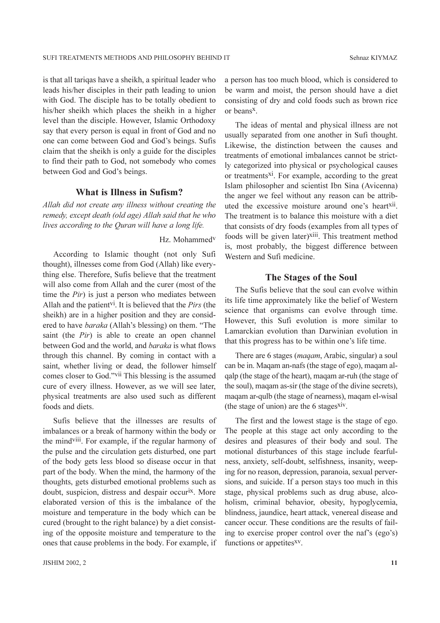is that all tariqas have a sheikh, a spiritual leader who leads his/her disciples in their path leading to union with God. The disciple has to be totally obedient to his/her sheikh which places the sheikh in a higher level than the disciple. However, Islamic Orthodoxy say that every person is equal in front of God and no one can come between God and God's beings. Sufis claim that the sheikh is only a guide for the disciples to find their path to God, not somebody who comes between God and God's beings.

# **What is Illness in Sufism?**

Allah did not create any illness without creating the remedy, except death (old age) Allah said that he who lives according to the Quran will have a long life.

### Hz. Mohammed<sup>v</sup>

According to Islamic thought (not only Sufi thought), illnesses come from God (Allah) like everything else. Therefore, Sufis believe that the treatment will also come from Allah and the curer (most of the time the  $Pir$ ) is just a person who mediates between Allah and the patient<sup>vi</sup>. It is believed that the *Pirs* (the sheikh) are in a higher position and they are considered to have *baraka* (Allah's blessing) on them. "The saint (the *Pir*) is able to create an open channel between God and the world, and *baraka* is what flows through this channel. By coming in contact with a saint, whether living or dead, the follower himself comes closer to God."<sup>vii</sup> This blessing is the assumed cure of every illness. However, as we will see later, physical treatments are also used such as different foods and diets.

Sufis believe that the illnesses are results of imbalances or a break of harmony within the body or the mind<sup>viii</sup>. For example, if the regular harmony of the pulse and the circulation gets disturbed, one part of the body gets less blood so disease occur in that part of the body. When the mind, the harmony of the thoughts, gets disturbed emotional problems such as doubt, suspicion, distress and despair occurix. More elaborated version of this is the imbalance of the moisture and temperature in the body which can be cured (brought to the right balance) by a diet consisting of the opposite moisture and temperature to the ones that cause problems in the body. For example, if a person has too much blood, which is considered to be warm and moist, the person should have a diet consisting of dry and cold foods such as brown rice or beans<sup>x</sup>.

The ideas of mental and physical illness are not usually separated from one another in Sufi thought. Likewise, the distinction between the causes and treatments of emotional imbalances cannot be strictly categorized into physical or psychological causes or treatments<sup>xi</sup>. For example, according to the great Islam philosopher and scientist Ibn Sina (Avicenna) the anger we feel without any reason can be attributed the excessive moisture around one's heart<sup>xii</sup>. The treatment is to balance this moisture with a diet that consists of dry foods (examples from all types of foods will be given later)<sup>xiii</sup>. This treatment method is, most probably, the biggest difference between Western and Sufi medicine.

### The Stages of the Soul

The Sufis believe that the soul can evolve within its life time approximately like the belief of Western science that organisms can evolve through time. However, this Sufi evolution is more similar to Lamarckian evolution than Darwinian evolution in that this progress has to be within one's life time.

There are 6 stages (*maqam*, Arabic, singular) a soul can be in. Magam an-nafs (the stage of ego), magam alqalp (the stage of the heart), maqam ar-ruh (the stage of the soul), magam as-sir (the stage of the divine secrets), magam ar-qulb (the stage of nearness), magam el-wisal (the stage of union) are the 6 stages xiv.

The first and the lowest stage is the stage of ego. The people at this stage act only according to the desires and pleasures of their body and soul. The motional disturbances of this stage include fearfulness, anxiety, self-doubt, selfishness, insanity, weeping for no reason, depression, paranoia, sexual perversions, and suicide. If a person stays too much in this stage, physical problems such as drug abuse, alcoholism, criminal behavior, obesity, hypoglycemia, blindness, jaundice, heart attack, venereal disease and cancer occur. These conditions are the results of failing to exercise proper control over the naf's (ego's) functions or appetites<sup>xv</sup>.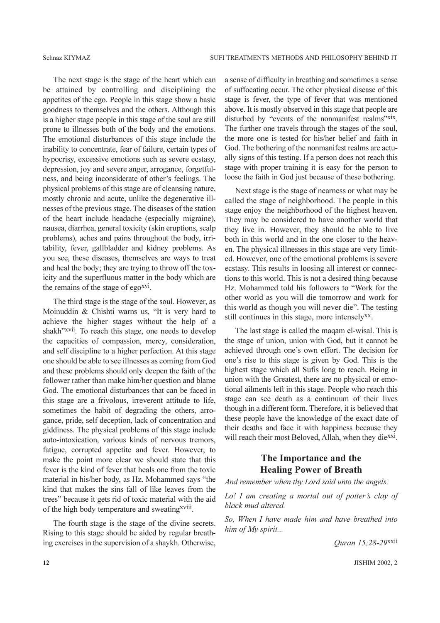The next stage is the stage of the heart which can be attained by controlling and disciplining the appetites of the ego. People in this stage show a basic goodness to themselves and the others. Although this is a higher stage people in this stage of the soul are still prone to illnesses both of the body and the emotions. The emotional disturbances of this stage include the inability to concentrate, fear of failure, certain types of hypocrisy, excessive emotions such as severe ecstasy, depression, joy and severe anger, arrogance, forgetfulness, and being inconsiderate of other's feelings. The physical problems of this stage are of cleansing nature, mostly chronic and acute, unlike the degenerative illnesses of the previous stage. The diseases of the station of the heart include headache (especially migraine), nausea, diarrhea, general toxicity (skin eruptions, scalp problems), aches and pains throughout the body, irritability, fever, gallbladder and kidney problems. As you see, these diseases, themselves are ways to treat and heal the body; they are trying to throw off the toxicity and the superfluous matter in the body which are the remains of the stage of ego<sup>xvi</sup>.

The third stage is the stage of the soul. However, as Moinuddin & Chishti warns us, "It is very hard to achieve the higher stages without the help of a shakh"xvii. To reach this stage, one needs to develop the capacities of compassion, mercy, consideration, and self discipline to a higher perfection. At this stage one should be able to see illnesses as coming from God and these problems should only deepen the faith of the follower rather than make him/her question and blame God. The emotional disturbances that can be faced in this stage are a frivolous, irreverent attitude to life, sometimes the habit of degrading the others, arrogance, pride, self deception, lack of concentration and giddiness. The physical problems of this stage include auto-intoxication, various kinds of nervous tremors, fatigue, corrupted appetite and fever. However, to make the point more clear we should state that this fever is the kind of fever that heals one from the toxic material in his/her body, as Hz. Mohammed says "the kind that makes the sins fall of like leaves from the trees" because it gets rid of toxic material with the aid of the high body temperature and sweating<sup>xviii</sup>.

The fourth stage is the stage of the divine secrets. Rising to this stage should be aided by regular breathing exercises in the supervision of a shaykh. Otherwise, a sense of difficulty in breathing and sometimes a sense of suffocating occur. The other physical disease of this stage is fever, the type of fever that was mentioned above. It is mostly observed in this stage that people are disturbed by "events of the nonmanifest realms"xix. The further one travels through the stages of the soul. the more one is tested for his/her belief and faith in God. The bothering of the nonmanifest realms are actually signs of this testing. If a person does not reach this stage with proper training it is easy for the person to loose the faith in God just because of these bothering.

Next stage is the stage of nearness or what may be called the stage of neighborhood. The people in this stage enjoy the neighborhood of the highest heaven. They may be considered to have another world that they live in. However, they should be able to live both in this world and in the one closer to the heaven. The physical illnesses in this stage are very limited. However, one of the emotional problems is severe ecstasy. This results in loosing all interest or connections to this world. This is not a desired thing because Hz. Mohammed told his followers to "Work for the other world as you will die tomorrow and work for this world as though you will never die". The testing still continues in this stage, more intensely<sup>xx</sup>.

The last stage is called the maqam el-wisal. This is the stage of union, union with God, but it cannot be achieved through one's own effort. The decision for one's rise to this stage is given by God. This is the highest stage which all Sufis long to reach. Being in union with the Greatest, there are no physical or emotional ailments left in this stage. People who reach this stage can see death as a continuum of their lives though in a different form. Therefore, it is believed that these people have the knowledge of the exact date of their deaths and face it with happiness because they will reach their most Beloved, Allah, when they die<sup>xxi</sup>.

# The Importance and the **Healing Power of Breath**

And remember when thy Lord said unto the angels:

Lo! I am creating a mortal out of potter's clay of black mud altered.

So, When I have made him and have breathed into him of My spirit...

Quran 15:28-29xxii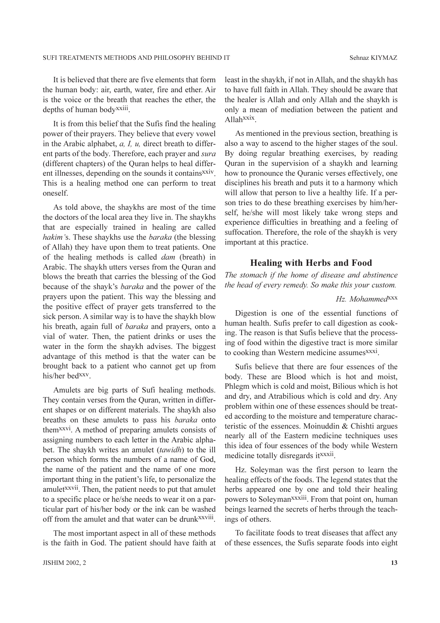It is believed that there are five elements that form the human body: air, earth, water, fire and ether. Air is the voice or the breath that reaches the ether, the depths of human body<sup>xxiii</sup>.

It is from this belief that the Sufis find the healing power of their prayers. They believe that every yowel in the Arabic alphabet,  $a$ ,  $I$ ,  $u$ , direct breath to different parts of the body. Therefore, each prayer and sura (different chapters) of the Quran helps to heal different illnesses, depending on the sounds it contains x xiv. This is a healing method one can perform to treat oneself.

As told above, the shaykhs are most of the time the doctors of the local area they live in. The shaykhs that are especially trained in healing are called hakim's. These shaykhs use the baraka (the blessing of Allah) they have upon them to treat patients. One of the healing methods is called *dam* (breath) in Arabic. The shaykh utters verses from the Quran and blows the breath that carries the blessing of the God because of the shayk's baraka and the power of the prayers upon the patient. This way the blessing and the positive effect of prayer gets transferred to the sick person. A similar way is to have the shaykh blow his breath, again full of *baraka* and prayers, onto a vial of water. Then, the patient drinks or uses the water in the form the shaykh advises. The biggest advantage of this method is that the water can be brought back to a patient who cannot get up from his/her bed<sup>xxv</sup>.

Amulets are big parts of Sufi healing methods. They contain verses from the Quran, written in different shapes or on different materials. The shaykh also breaths on these amulets to pass his baraka onto them<sup>xxvi</sup>. A method of preparing amulets consists of assigning numbers to each letter in the Arabic alphabet. The shaykh writes an amulet *(tawidh)* to the ill person which forms the numbers of a name of God, the name of the patient and the name of one more important thing in the patient's life, to personalize the amulet<sup>xxvii</sup>. Then, the patient needs to put that amulet to a specific place or he/she needs to wear it on a particular part of his/her body or the ink can be washed off from the amulet and that water can be drunk<sup>xxviii</sup>.

The most important aspect in all of these methods is the faith in God. The patient should have faith at least in the shaykh, if not in Allah, and the shaykh has to have full faith in Allah. They should be aware that the healer is Allah and only Allah and the shaykh is only a mean of mediation between the patient and  $Allahxxx$ 

As mentioned in the previous section, breathing is also a way to ascend to the higher stages of the soul. By doing regular breathing exercises, by reading Quran in the supervision of a shaykh and learning how to pronounce the Quranic verses effectively, one disciplines his breath and puts it to a harmony which will allow that person to live a healthy life. If a person tries to do these breathing exercises by him/herself, he/she will most likely take wrong steps and experience difficulties in breathing and a feeling of suffocation. Therefore, the role of the shaykh is very important at this practice.

## **Healing with Herbs and Food**

The stomach if the home of disease and abstinence the head of every remedy. So make this your custom.

### Hz. Mohammed<sup>XXX</sup>

Digestion is one of the essential functions of human health. Sufis prefer to call digestion as cooking. The reason is that Sufis believe that the processing of food within the digestive tract is more similar to cooking than Western medicine assumes<sup>xxxi</sup>.

Sufis believe that there are four essences of the body. These are Blood which is hot and moist, Phlegm which is cold and moist, Bilious which is hot and dry, and Atrabilious which is cold and dry. Any problem within one of these essences should be treated according to the moisture and temperature characteristic of the essences. Moinuddin  $&$  Chishti argues nearly all of the Eastern medicine techniques uses this idea of four essences of the body while Western medicine totally disregards it<sup>xxxii</sup>.

Hz. Soleyman was the first person to learn the healing effects of the foods. The legend states that the herbs appeared one by one and told their healing powers to Soleyman<sup>xxxiii</sup>. From that point on, human beings learned the secrets of herbs through the teachings of others.

To facilitate foods to treat diseases that affect any of these essences, the Sufis separate foods into eight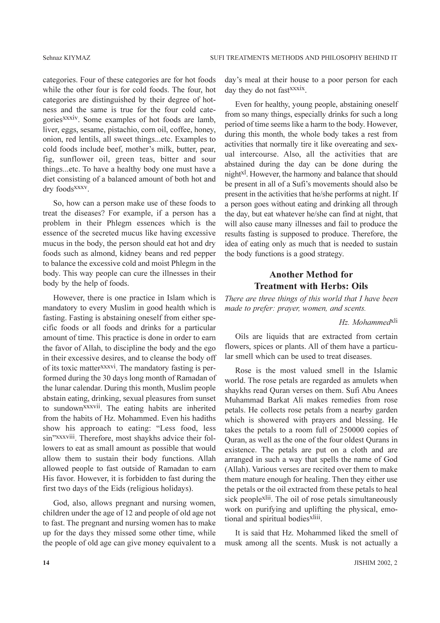categories. Four of these categories are for hot foods while the other four is for cold foods. The four, hot categories are distinguished by their degree of hotness and the same is true for the four cold categories<sup>xxxiv</sup>. Some examples of hot foods are lamb, liver, eggs, sesame, pistachio, corn oil, coffee, honey, onion, red lentils, all sweet things...etc. Examples to cold foods include beef, mother's milk, butter, pear, fig, sunflower oil, green teas, bitter and sour things...etc. To have a healthy body one must have a diet consisting of a balanced amount of both hot and dry foods<sup>xxxv</sup>.

So, how can a person make use of these foods to treat the diseases? For example, if a person has a problem in their Phlegm essences which is the essence of the secreted mucus like having excessive mucus in the body, the person should eat hot and dry foods such as almond, kidney beans and red pepper to balance the excessive cold and moist Phlegm in the body. This way people can cure the illnesses in their body by the help of foods.

However, there is one practice in Islam which is mandatory to every Muslim in good health which is fasting. Fasting is abstaining oneself from either specific foods or all foods and drinks for a particular amount of time. This practice is done in order to earn the favor of Allah, to discipline the body and the ego in their excessive desires, and to cleanse the body off of its toxic matter<sup>xxxvi</sup>. The mandatory fasting is performed during the 30 days long month of Ramadan of the lunar calendar. During this month, Muslim people abstain eating, drinking, sexual pleasures from sunset to sundown<sup>xxxvii</sup>. The eating habits are inherited from the habits of Hz. Mohammed. Even his hadiths show his approach to eating: "Less food, less sin"xxxviii. Therefore, most shaykhs advice their followers to eat as small amount as possible that would allow them to sustain their body functions. Allah allowed people to fast outside of Ramadan to earn His favor. However, it is forbidden to fast during the first two days of the Eids (religious holidays).

God, also, allows pregnant and nursing women, children under the age of 12 and people of old age not to fast. The pregnant and nursing women has to make up for the days they missed some other time, while the people of old age can give money equivalent to a day's meal at their house to a poor person for each day they do not fast<sup>xxxix</sup>.

Even for healthy, young people, abstaining oneself from so many things, especially drinks for such a long period of time seems like a harm to the body. However, during this month, the whole body takes a rest from activities that normally tire it like overeating and sexual intercourse. Also, all the activities that are abstained during the day can be done during the night<sup>xl</sup>. However, the harmony and balance that should be present in all of a Sufi's movements should also be present in the activities that he/she performs at night. If a person goes without eating and drinking all through the day, but eat whatever he/she can find at night, that will also cause many illnesses and fail to produce the results fasting is supposed to produce. Therefore, the idea of eating only as much that is needed to sustain the body functions is a good strategy.

# **Another Method for Treatment with Herbs: Oils**

There are three things of this world that I have been made to prefer: prayer, women, and scents.

# Hz. Mohammed<sup>xli</sup>

Oils are liquids that are extracted from certain flowers, spices or plants. All of them have a particular smell which can be used to treat diseases.

Rose is the most valued smell in the Islamic world. The rose petals are regarded as amulets when shaykhs read Ouran verses on them. Sufi Abu Anees Muhammad Barkat Ali makes remedies from rose petals. He collects rose petals from a nearby garden which is showered with prayers and blessing. He takes the petals to a room full of 250000 copies of Quran, as well as the one of the four oldest Qurans in existence. The petals are put on a cloth and are arranged in such a way that spells the name of God (Allah). Various verses are recited over them to make them mature enough for healing. Then they either use the petals or the oil extracted from these petals to heal sick people<sup>xlii</sup>. The oil of rose petals simultaneously work on purifying and uplifting the physical, emotional and spiritual bodies<sup>xliii</sup>.

It is said that Hz. Mohammed liked the smell of musk among all the scents. Musk is not actually a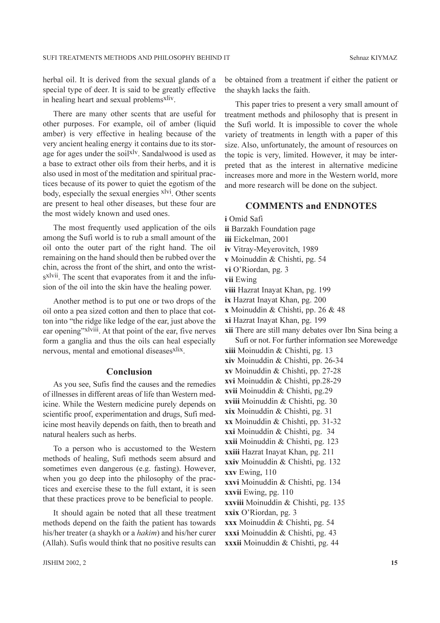herbal oil. It is derived from the sexual glands of a special type of deer. It is said to be greatly effective in healing heart and sexual problems<sup>xliv</sup>.

There are many other scents that are useful for other purposes. For example, oil of amber (liquid amber) is very effective in healing because of the very ancient healing energy it contains due to its storage for ages under the soil<sup>xly</sup>. Sandalwood is used as a base to extract other oils from their herbs, and it is also used in most of the meditation and spiritual practices because of its power to quiet the egotism of the body, especially the sexual energies <sup>xlvi</sup>. Other scents are present to heal other diseases, but these four are the most widely known and used ones.

The most frequently used application of the oils among the Sufi world is to rub a small amount of the oil onto the outer part of the right hand. The oil remaining on the hand should then be rubbed over the chin, across the front of the shirt, and onto the wrists<sup>xlvii</sup>. The scent that evaporates from it and the infusion of the oil into the skin have the healing power.

Another method is to put one or two drops of the oil onto a pea sized cotton and then to place that cotton into "the ridge like ledge of the ear, just above the ear opening"xlviii. At that point of the ear, five nerves form a ganglia and thus the oils can heal especially nervous, mental and emotional diseases<sup>xlix</sup>.

### Conclusion

As you see, Sufis find the causes and the remedies of illnesses in different areas of life than Western medicine. While the Western medicine purely depends on scientific proof, experimentation and drugs, Sufi medicine most heavily depends on faith, then to breath and natural healers such as herbs.

To a person who is accustomed to the Western methods of healing. Sufi methods seem absurd and sometimes even dangerous (e.g. fasting). However, when you go deep into the philosophy of the practices and exercise these to the full extant, it is seen that these practices prove to be beneficial to people.

It should again be noted that all these treatment methods depend on the faith the patient has towards his/her treater (a shaykh or a *hakim*) and his/her curer (Allah). Sufis would think that no positive results can be obtained from a treatment if either the patient or the shaykh lacks the faith.

This paper tries to present a very small amount of treatment methods and philosophy that is present in the Sufi world. It is impossible to cover the whole variety of treatments in length with a paper of this size. Also, unfortunately, the amount of resources on the topic is very, limited. However, it may be interpreted that as the interest in alternative medicine increases more and more in the Western world, more and more research will be done on the subject.

# **COMMENTS and ENDNOTES**

i Omid Safi

ii Barzakh Foundation page

- iii Eickelman, 2001
- iv Vitray-Meyerovitch, 1989
- v Moinuddin & Chishti, pg. 54
- vi O'Riordan, pg. 3
- vii Ewing
- viii Hazrat Inayat Khan, pg. 199
- ix Hazrat Inayat Khan, pg. 200
- x Moinuddin & Chishti, pp. 26 & 48
- xi Hazrat Inayat Khan, pg. 199
- xii There are still many debates over Ibn Sina being a Sufi or not. For further information see Morewedge
- **xiii** Moinuddin & Chishti, pg. 13
- xiv Moinuddin & Chishti, pp. 26-34
- xv Moinuddin & Chishti, pp. 27-28
- xvi Moinuddin & Chishti, pp.28-29
- xvii Moinuddin & Chishti, pg.29
- xviii Moinuddin & Chishti, pg. 30
- xix Moinuddin & Chishti, pg. 31
- $xx$  Moinuddin & Chishti, pp. 31-32
- xxi Moinuddin & Chishti, pg. 34 xxii Moinuddin & Chishti, pg. 123
- xxiii Hazrat Inayat Khan, pg. 211
- xxiv Moinuddin & Chishti, pg. 132
- xxv Ewing, 110
- xxvi Moinuddin & Chishti, pg. 134
- xxvii Ewing, pg. 110
- xxviii Moinuddin & Chishti, pg. 135
- xxix O'Riordan, pg. 3
- xxx Moinuddin & Chishti, pg. 54
- xxxi Moinuddin & Chishti, pg. 43
- xxxii Moinuddin & Chishti, pg. 44